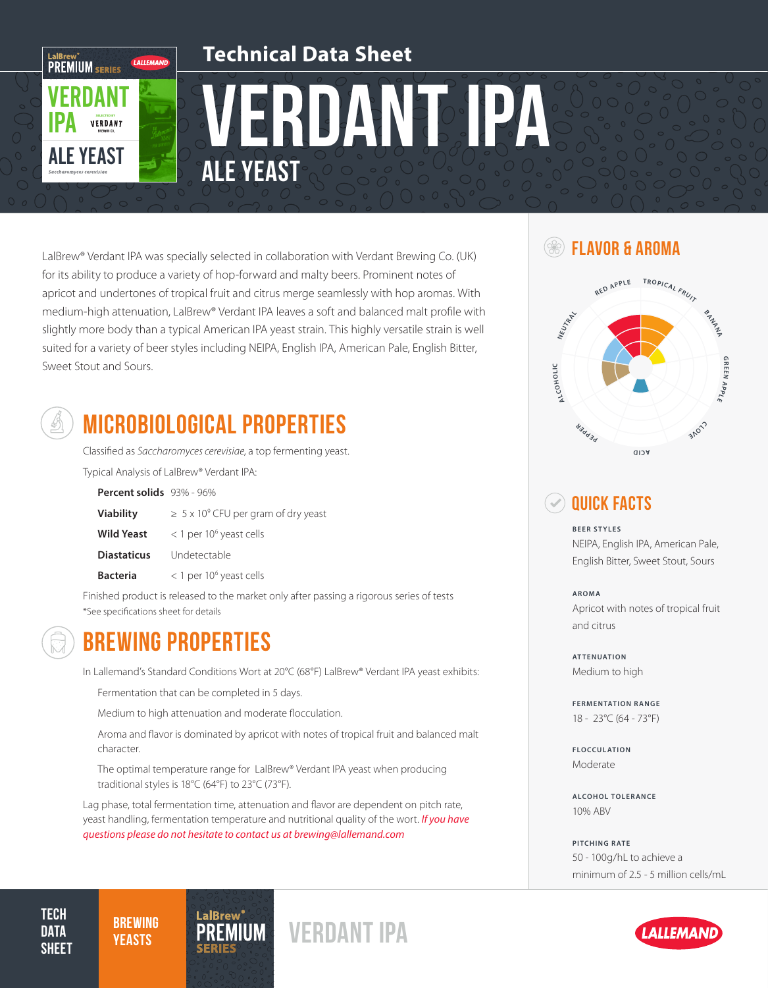

LalBrew® Verdant IPA was specially selected in collaboration with Verdant Brewing Co. (UK) for its ability to produce a variety of hop-forward and malty beers. Prominent notes of apricot and undertones of tropical fruit and citrus merge seamlessly with hop aromas. With medium-high attenuation, LalBrew® Verdant IPA leaves a soft and balanced malt profile with slightly more body than a typical American IPA yeast strain. This highly versatile strain is well suited for a variety of beer styles including NEIPA, English IPA, American Pale, English Bitter, Sweet Stout and Sours.



## MICROBIOLOGICAL PROPERTIES

Classified as *Saccharomyces cerevisiae*, a top fermenting yeast.

Typical Analysis of LalBrew® Verdant IPA:

| Percent solids 93% - 96% |  |  |
|--------------------------|--|--|
|--------------------------|--|--|

| <b>Viability</b>  | $\geq 5 \times 10^9$ CFU per gram of dry yeast |
|-------------------|------------------------------------------------|
| <b>Wild Yeast</b> | $<$ 1 per 10 <sup>6</sup> yeast cells          |

**Diastaticus** Undetectable

**Bacteria** < 1 per 10<sup>6</sup> yeast cells

Finished product is released to the market only after passing a rigorous series of tests \*See specifications sheet for details



### BREWING PROPERTIES

In Lallemand's Standard Conditions Wort at 20°C (68°F) LalBrew® Verdant IPA yeast exhibits:

Fermentation that can be completed in 5 days.

Medium to high attenuation and moderate flocculation.

Aroma and flavor is dominated by apricot with notes of tropical fruit and balanced malt character.

The optimal temperature range for LalBrew® Verdant IPA yeast when producing traditional styles is 18°C (64°F) to 23°C (73°F).

Lag phase, total fermentation time, attenuation and flavor are dependent on pitch rate, yeast handling, fermentation temperature and nutritional quality of the wort. *If you have questions please do not hesitate to contact us at brewing@lallemand.com*

*YEASTS* PREMIUM<sup>S</sup> VERDANT IPA

#### Flavor & Aroma



#### Quick Facts

**BEER STYLES**

NEIPA, English IPA, American Pale, English Bitter, Sweet Stout, Sours

**AROMA** Apricot with notes of tropical fruit and citrus

**ATTENUATION** Medium to high

**FERMENTATION RANGE** 18 - 23°C (64 - 73°F)

**FLOCCULATION** Moderate

**ALCOHOL TOLERANCE** 10% ABV

**PITCHING RATE** 50 - 100g/hL to achieve a minimum of 2.5 - 5 million cells/mL



Tech **DATA SHEET** 

**BREWING**